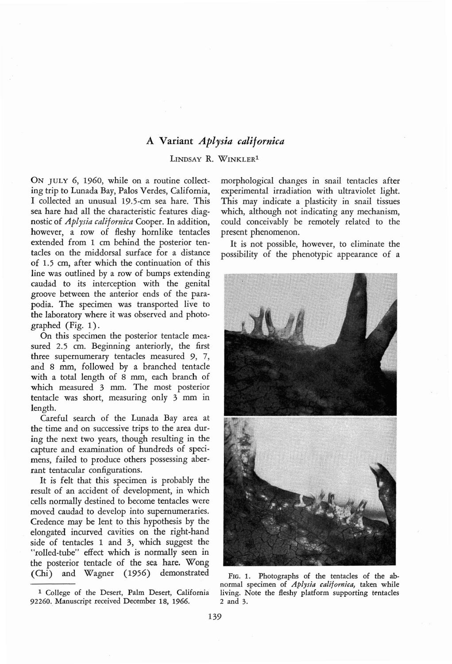## A **Variant** *Aplysia californica*

## LINDSAY R. WINKLER<sup>1</sup>

ON JULY 6, 1960, while on a routine collecting trip to Lunada Bay, Palos Verdes, California, I collected an unusual 19.5-cm sea hare. This sea hare had all the characteristic features diagnostic of *Aplysia califomica* Cooper. In addition, however, a row of fleshy hornlike tentacles extended from 1 em behind the posterior tentacles on the middorsal surface for a distance of 1.5 em, after which the continuation of this line was outlined by a row of bumps extending caudad to its interception with the genital groove between the anterior ends of the parapodia. The specimen was transported live to the laboratory where it was observed and photographed (Fig. 1).

On this specimen the posterior tentacle measured 2.5 em. Beginning anteriorly, the first three supernumerary tentacles measured 9, 7, and 8 mm, followed by a branched tentacle with a total length of 8 mm, each branch of which measured 3 mm. The most posterior tentacle was short, measuring only 3 mm in length.

Careful search of the Lunada Bay area at the time and on successive trips to the area during the next two years, though resulting in the capture and examination of hundreds of specimens, failed to produce others possessing aberrant tentacular configurations.

It is felt that this specimen is probably the result of an accident of development, in which cells normally destined to become tentacles were moved caudad to develop into supernumeraries. Credence may be lent to this hypothesis by the elongated incurved cavities on the right-hand side of tentacles 1 and 3, which suggest the "rolled-tube" effect which is normally seen in the posterior tentacle of the sea hare. Wong (Chi) and Wagner (1956) demonstrated

morphological changes in snail tentacles after experimental irradiation with ultraviolet light. This may indicate a plasticity in snail tissues which, although not indicating any mechanism, could conceivably be remotely related to the present phenomenon.

It is not possible, however, to eliminate the possibility of the phenotypic appearance of a



FIG. 1. Photographs of the tentacles of the abnormal specimen of *Aplysia calijornica,* taken while living. Note the fleshy platform supporting tentacles 2 and 3.

<sup>1</sup> College of the Desert, Palm Desert, California 92260. Manuscript received December 18, 1966.